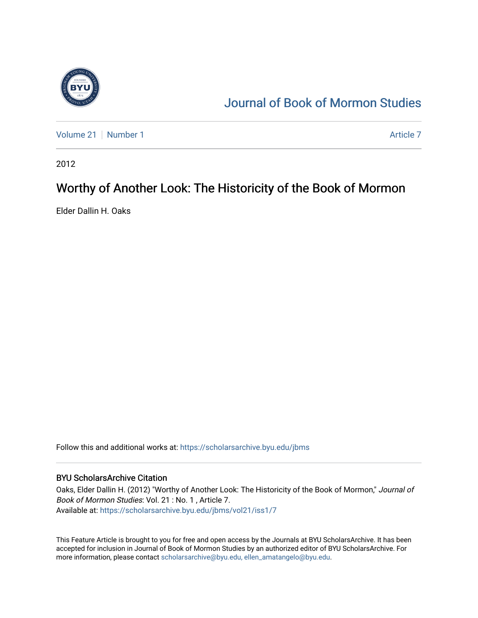

## [Journal of Book of Mormon Studies](https://scholarsarchive.byu.edu/jbms)

[Volume 21](https://scholarsarchive.byu.edu/jbms/vol21) [Number 1](https://scholarsarchive.byu.edu/jbms/vol21/iss1) Article 7

2012

### Worthy of Another Look: The Historicity of the Book of Mormon

Elder Dallin H. Oaks

Follow this and additional works at: [https://scholarsarchive.byu.edu/jbms](https://scholarsarchive.byu.edu/jbms?utm_source=scholarsarchive.byu.edu%2Fjbms%2Fvol21%2Fiss1%2F7&utm_medium=PDF&utm_campaign=PDFCoverPages) 

### BYU ScholarsArchive Citation

Oaks, Elder Dallin H. (2012) "Worthy of Another Look: The Historicity of the Book of Mormon," Journal of Book of Mormon Studies: Vol. 21 : No. 1 , Article 7. Available at: [https://scholarsarchive.byu.edu/jbms/vol21/iss1/7](https://scholarsarchive.byu.edu/jbms/vol21/iss1/7?utm_source=scholarsarchive.byu.edu%2Fjbms%2Fvol21%2Fiss1%2F7&utm_medium=PDF&utm_campaign=PDFCoverPages) 

This Feature Article is brought to you for free and open access by the Journals at BYU ScholarsArchive. It has been accepted for inclusion in Journal of Book of Mormon Studies by an authorized editor of BYU ScholarsArchive. For more information, please contact [scholarsarchive@byu.edu, ellen\\_amatangelo@byu.edu.](mailto:scholarsarchive@byu.edu,%20ellen_amatangelo@byu.edu)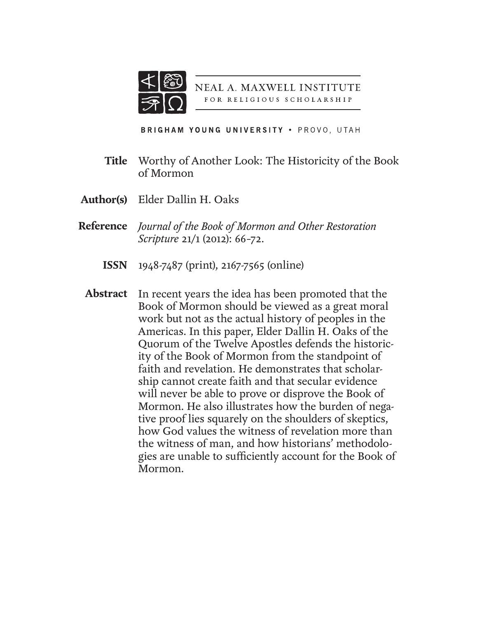

NEAL A. MAXWELL INSTITUTE FOR RELIGIOUS SCHOLARSHIP

**BRIGHAM YOUNG UNIVERSITY . PROVO, UTAH** 

- Worthy of Another Look: The Historicity of the Book of Mormon **Title**
- Elder Dallin H. Oaks **Author(s)**
- *Journal of the Book of Mormon and Other Restoration*  **Reference** *Scripture* 21/1 (2012): 66–72.
	- 1948-7487 (print), 2167-7565 (online) **ISSN**
	- In recent years the idea has been promoted that the Book of Mormon should be viewed as a great moral work but not as the actual history of peoples in the Americas. In this paper, Elder Dallin H. Oaks of the Quorum of the Twelve Apostles defends the historicity of the Book of Mormon from the standpoint of faith and revelation. He demonstrates that scholarship cannot create faith and that secular evidence will never be able to prove or disprove the Book of Mormon. He also illustrates how the burden of negative proof lies squarely on the shoulders of skeptics, how God values the witness of revelation more than the witness of man, and how historians' methodologies are unable to sufficiently account for the Book of Mormon. **Abstract**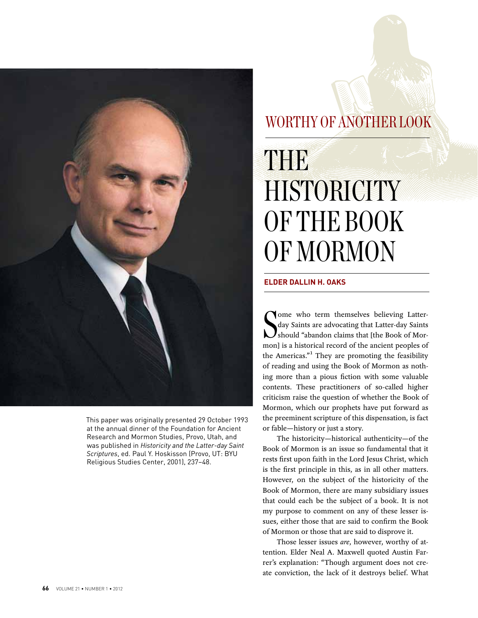

This paper was originally presented 29 October 1993 at the annual dinner of the Foundation for Ancient Research and Mormon Studies, Provo, Utah, and was published in *Historicity and the Latter-day Saint Scriptures*, ed. Paul Y. Hoskisson (Provo, UT: BYU Religious Studies Center, 2001), 237–48.

## WORTHY OF ANOTHER LOOK

# the company's company's company's company's company's company's company's company's company's company's company's company's company's company's company's company's company's company's company's company's company's company' THE **HISTORICITY** OF THE BOOK OF MORMON

### **ELDER DALLIN H. OAKS**

Some who term themselves believing Latter-<br>day Saints are advocating that Latter-day Saints<br>should "abandon claims that [the Book of Mor-<br>mon] is a historical record of the ancient peoples of ome who term themselves believing Latterday Saints are advocating that Latter-day Saints  $\boldsymbol{J}$ should "abandon claims that [the Book of Morthe Americas."<sup>1</sup> They are promoting the feasibility of reading and using the Book of Mormon as nothing more than a pious fiction with some valuable contents. These practitioners of so-called higher criticism raise the question of whether the Book of Mormon, which our prophets have put forward as the preeminent scripture of this dispensation, is fact or fable—history or just a story.

The historicity—historical authenticity—of the Book of Mormon is an issue so fundamental that it rests first upon faith in the Lord Jesus Christ, which is the first principle in this, as in all other matters. However, on the subject of the historicity of the Book of Mormon, there are many subsidiary issues that could each be the subject of a book. It is not my purpose to comment on any of these lesser issues, either those that are said to confirm the Book of Mormon or those that are said to disprove it.

Those lesser issues *are*, however, worthy of attention. Elder Neal A. Maxwell quoted Austin Farrer's explanation: "Though argument does not create conviction, the lack of it destroys belief. What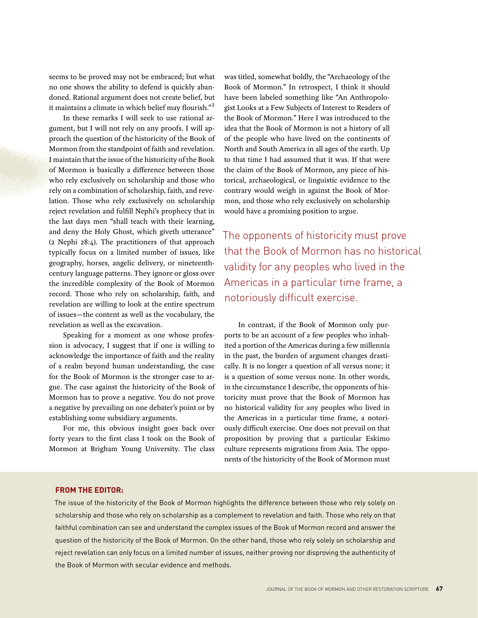seems to be proved may not be embraced; but what no one shows the ability to defend is quickly abandoned. Rational argument does not create belief, but it maintains a climate in which belief may flourish."<sup>2</sup>

In these remarks I will seek to use rational argument, but I will not rely on any proofs. I will approach the question of the historicity of the Book of Mormon from the standpoint of faith and revelation. I maintain that the issue of the historicity of the Book of Mormon is basically a difference between those who rely exclusively on scholarship and those who rely on a combination of scholarship, faith, and revelation. Those who rely exclusively on scholarship reject revelation and fulfill Nephi's prophecy that in the last days men "shall teach with their learning, and deny the Holy Ghost, which giveth utterance" (2 Nephi 28:4). The practitioners of that approach typically focus on a limited number of issues, like geography, horses, angelic delivery, or nineteenthcentury language patterns. They ignore or gloss over the incredible complexity of the Book of Mormon record. Those who rely on scholarship, faith, and revelation are willing to look at the entire spectrum of issues—the content as well as the vocabulary, the revelation as well as the excavation.

Speaking for a moment as one whose profession is advocacy, I suggest that if one is willing to acknowledge the importance of faith and the reality of a realm beyond human understanding, the case for the Book of Mormon is the stronger case to argue. The case against the historicity of the Book of Mormon has to prove a negative. You do not prove a negative by prevailing on one debater's point or by establishing some subsidiary arguments.

For me, this obvious insight goes back over forty years to the first class I took on the Book of Mormon at Brigham Young University. The class

was titled, somewhat boldly, the "Archaeology of the Book of Mormon." In retrospect, I think it should have been labeled something like "An Anthropologist Looks at a Few Subjects of Interest to Readers of the Book of Mormon." Here I was introduced to the idea that the Book of Mormon is not a history of all of the people who have lived on the continents of North and South America in all ages of the earth. Up to that time I had assumed that it was. If that were the claim of the Book of Mormon, any piece of historical, archaeological, or linguistic evidence to the contrary would weigh in against the Book of Mormon, and those who rely exclusively on scholarship would have a promising position to argue.

The opponents of historicity must prove that the Book of Mormon has no historical validity for any peoples who lived in the Americas in a particular time frame, a notoriously difficult exercise.

In contrast, if the Book of Mormon only purports to be an account of a few peoples who inhabited a portion of the Americas during a few millennia in the past, the burden of argument changes drastically. It is no longer a question of all versus none; it is a question of some versus none. In other words, in the circumstance I describe, the opponents of historicity must prove that the Book of Mormon has no historical validity for any peoples who lived in the Americas in a particular time frame, a notoriously difficult exercise. One does not prevail on that proposition by proving that a particular Eskimo culture represents migrations from Asia. The opponents of the historicity of the Book of Mormon must

### **from the Editor:**

The issue of the historicity of the Book of Mormon highlights the difference between those who rely solely on scholarship and those who rely on scholarship as a complement to revelation and faith. Those who rely on that faithful combination can see and understand the complex issues of the Book of Mormon record and answer the question of the historicity of the Book of Mormon. On the other hand, those who rely solely on scholarship and reject revelation can only focus on a limited number of issues, neither proving nor disproving the authenticity of the Book of Mormon with secular evidence and methods.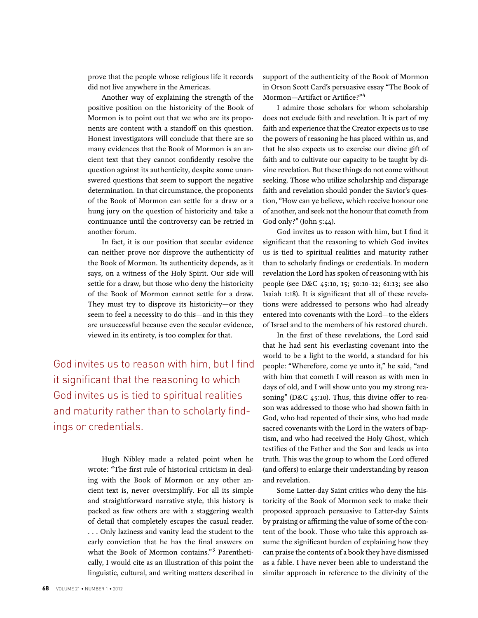prove that the people whose religious life it records did not live anywhere in the Americas.

Another way of explaining the strength of the positive position on the historicity of the Book of Mormon is to point out that we who are its proponents are content with a standoff on this question. Honest investigators will conclude that there are so many evidences that the Book of Mormon is an ancient text that they cannot confidently resolve the question against its authenticity, despite some unanswered questions that seem to support the negative determination. In that circumstance, the proponents of the Book of Mormon can settle for a draw or a hung jury on the question of historicity and take a continuance until the controversy can be retried in another forum.

In fact, it is our position that secular evidence can neither prove nor disprove the authenticity of the Book of Mormon. Its authenticity depends, as it says, on a witness of the Holy Spirit. Our side will settle for a draw, but those who deny the historicity of the Book of Mormon cannot settle for a draw. They must try to disprove its historicity—or they seem to feel a necessity to do this—and in this they are unsuccessful because even the secular evidence, viewed in its entirety, is too complex for that.

God invites us to reason with him, but I find it significant that the reasoning to which God invites us is tied to spiritual realities and maturity rather than to scholarly findings or credentials.

> Hugh Nibley made a related point when he wrote: "The first rule of historical criticism in dealing with the Book of Mormon or any other ancient text is, never oversimplify. For all its simple and straightforward narrative style, this history is packed as few others are with a staggering wealth of detail that completely escapes the casual reader. . . . Only laziness and vanity lead the student to the early conviction that he has the final answers on what the Book of Mormon contains."<sup>3</sup> Parenthetically, I would cite as an illustration of this point the linguistic, cultural, and writing matters described in

support of the authenticity of the Book of Mormon in Orson Scott Card's persuasive essay "The Book of Mormon-Artifact or Artifice?"<sup>4</sup>

I admire those scholars for whom scholarship does not exclude faith and revelation. It is part of my faith and experience that the Creator expects us to use the powers of reasoning he has placed within us, and that he also expects us to exercise our divine gift of faith and to cultivate our capacity to be taught by divine revelation. But these things do not come without seeking. Those who utilize scholarship and disparage faith and revelation should ponder the Savior's question, "How can ye believe, which receive honour one of another, and seek not the honour that cometh from God only?" (John 5:44).

God invites us to reason with him, but I find it significant that the reasoning to which God invites us is tied to spiritual realities and maturity rather than to scholarly findings or credentials. In modern revelation the Lord has spoken of reasoning with his people (see D&C 45:10, 15; 50:10–12; 61:13; see also Isaiah 1:18). It is significant that all of these revelations were addressed to persons who had already entered into covenants with the Lord—to the elders of Israel and to the members of his restored church.

In the first of these revelations, the Lord said that he had sent his everlasting covenant into the world to be a light to the world, a standard for his people: "Wherefore, come ye unto it," he said, "and with him that cometh I will reason as with men in days of old, and I will show unto you my strong reasoning" (D&C 45:10). Thus, this divine offer to reason was addressed to those who had shown faith in God, who had repented of their sins, who had made sacred covenants with the Lord in the waters of baptism, and who had received the Holy Ghost, which testifies of the Father and the Son and leads us into truth. This was the group to whom the Lord offered (and offers) to enlarge their understanding by reason and revelation.

Some Latter-day Saint critics who deny the historicity of the Book of Mormon seek to make their proposed approach persuasive to Latter-day Saints by praising or affirming the value of some of the content of the book. Those who take this approach assume the significant burden of explaining how they can praise the contents of a book they have dismissed as a fable. I have never been able to understand the similar approach in reference to the divinity of the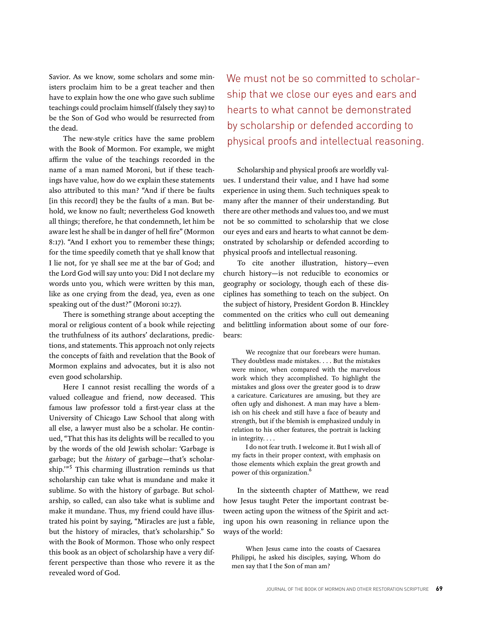Savior. As we know, some scholars and some ministers proclaim him to be a great teacher and then have to explain how the one who gave such sublime teachings could proclaim himself (falsely they say) to be the Son of God who would be resurrected from the dead.

The new-style critics have the same problem with the Book of Mormon. For example, we might affirm the value of the teachings recorded in the name of a man named Moroni, but if these teachings have value, how do we explain these statements also attributed to this man? "And if there be faults [in this record] they be the faults of a man. But behold, we know no fault; nevertheless God knoweth all things; therefore, he that condemneth, let him be aware lest he shall be in danger of hell fire" (Mormon 8:17). "And I exhort you to remember these things; for the time speedily cometh that ye shall know that I lie not, for ye shall see me at the bar of God; and the Lord God will say unto you: Did I not declare my words unto you, which were written by this man, like as one crying from the dead, yea, even as one speaking out of the dust?" (Moroni 10:27).

There is something strange about accepting the moral or religious content of a book while rejecting the truthfulness of its authors' declarations, predictions, and statements. This approach not only rejects the concepts of faith and revelation that the Book of Mormon explains and advocates, but it is also not even good scholarship.

Here I cannot resist recalling the words of a valued colleague and friend, now deceased. This famous law professor told a first-year class at the University of Chicago Law School that along with all else, a lawyer must also be a scholar. He continued, "That this has its delights will be recalled to you by the words of the old Jewish scholar: 'Garbage is garbage; but the *history* of garbage—that's scholarship.'" 5 This charming illustration reminds us that scholarship can take what is mundane and make it sublime. So with the history of garbage. But scholarship, so called, can also take what is sublime and make it mundane. Thus, my friend could have illustrated his point by saying, "Miracles are just a fable, but the history of miracles, that's scholarship." So with the Book of Mormon. Those who only respect this book as an object of scholarship have a very different perspective than those who revere it as the revealed word of God.

We must not be so committed to scholarship that we close our eyes and ears and hearts to what cannot be demonstrated by scholarship or defended according to physical proofs and intellectual reasoning.

Scholarship and physical proofs are worldly values. I understand their value, and I have had some experience in using them. Such techniques speak to many after the manner of their understanding. But there are other methods and values too, and we must not be so committed to scholarship that we close our eyes and ears and hearts to what cannot be demonstrated by scholarship or defended according to physical proofs and intellectual reasoning.

To cite another illustration, history—even church history—is not reducible to economics or geography or sociology, though each of these disciplines has something to teach on the subject. On the subject of history, President Gordon B. Hinckley commented on the critics who cull out demeaning and belittling information about some of our forebears:

We recognize that our forebears were human. They doubtless made mistakes. . . . But the mistakes were minor, when compared with the marvelous work which they accomplished. To highlight the mistakes and gloss over the greater good is to draw a caricature. Caricatures are amusing, but they are often ugly and dishonest. A man may have a blemish on his cheek and still have a face of beauty and strength, but if the blemish is emphasized unduly in relation to his other features, the portrait is lacking in integrity. . . .

I do not fear truth. I welcome it. But I wish all of my facts in their proper context, with emphasis on those elements which explain the great growth and power of this organization.6

In the sixteenth chapter of Matthew, we read how Jesus taught Peter the important contrast between acting upon the witness of the Spirit and acting upon his own reasoning in reliance upon the ways of the world:

When Jesus came into the coasts of Caesarea Philippi, he asked his disciples, saying, Whom do men say that I the Son of man am?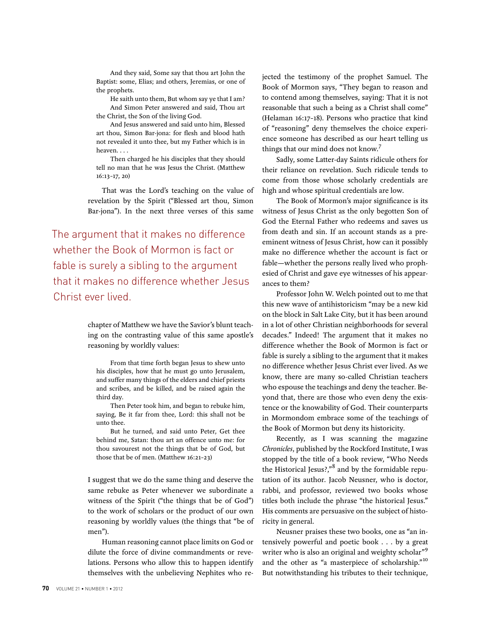And they said, Some say that thou art John the Baptist: some, Elias; and others, Jeremias, or one of the prophets.

He saith unto them, But whom say ye that I am? And Simon Peter answered and said, Thou art the Christ, the Son of the living God.

And Jesus answered and said unto him, Blessed art thou, Simon Bar-jona: for flesh and blood hath not revealed it unto thee, but my Father which is in heaven. . . .

Then charged he his disciples that they should tell no man that he was Jesus the Christ. (Matthew 16:13–17, 20)

That was the Lord's teaching on the value of revelation by the Spirit ("Blessed art thou, Simon Bar-jona"). In the next three verses of this same

The argument that it makes no difference whether the Book of Mormon is fact or fable is surely a sibling to the argument that it makes no difference whether Jesus Christ ever lived.

> chapter of Matthew we have the Savior's blunt teaching on the contrasting value of this same apostle's reasoning by worldly values:

From that time forth began Jesus to shew unto his disciples, how that he must go unto Jerusalem, and suffer many things of the elders and chief priests and scribes, and be killed, and be raised again the third day.

Then Peter took him, and began to rebuke him, saying, Be it far from thee, Lord: this shall not be unto thee.

But he turned, and said unto Peter, Get thee behind me, Satan: thou art an offence unto me: for thou savourest not the things that be of God, but those that be of men. (Matthew 16:21–23)

I suggest that we do the same thing and deserve the same rebuke as Peter whenever we subordinate a witness of the Spirit ("the things that be of God") to the work of scholars or the product of our own reasoning by worldly values (the things that "be of men").

Human reasoning cannot place limits on God or dilute the force of divine commandments or revelations. Persons who allow this to happen identify themselves with the unbelieving Nephites who rejected the testimony of the prophet Samuel. The Book of Mormon says, "They began to reason and to contend among themselves, saying: That it is not reasonable that such a being as a Christ shall come" (Helaman 16:17–18). Persons who practice that kind of "reasoning" deny themselves the choice experience someone has described as our heart telling us things that our mind does not know.<sup>7</sup>

Sadly, some Latter-day Saints ridicule others for their reliance on revelation. Such ridicule tends to come from those whose scholarly credentials are high and whose spiritual credentials are low.

The Book of Mormon's major significance is its witness of Jesus Christ as the only begotten Son of God the Eternal Father who redeems and saves us from death and sin. If an account stands as a preeminent witness of Jesus Christ, how can it possibly make no difference whether the account is fact or fable—whether the persons really lived who prophesied of Christ and gave eye witnesses of his appearances to them?

Professor John W. Welch pointed out to me that this new wave of antihistoricism "may be a new kid on the block in Salt Lake City, but it has been around in a lot of other Christian neighborhoods for several decades." Indeed! The argument that it makes no difference whether the Book of Mormon is fact or fable is surely a sibling to the argument that it makes no difference whether Jesus Christ ever lived. As we know, there are many so-called Christian teachers who espouse the teachings and deny the teacher. Beyond that, there are those who even deny the existence or the knowability of God. Their counterparts in Mormondom embrace some of the teachings of the Book of Mormon but deny its historicity.

Recently, as I was scanning the magazine *Chronicles*, published by the Rockford Institute, I was stopped by the title of a book review, "Who Needs the Historical Jesus?,"<sup>8</sup> and by the formidable reputation of its author. Jacob Neusner, who is doctor, rabbi, and professor, reviewed two books whose titles both include the phrase "the historical Jesus." His comments are persuasive on the subject of historicity in general.

Neusner praises these two books, one as "an intensively powerful and poetic book . . . by a great writer who is also an original and weighty scholar"<sup>9</sup> and the other as "a masterpiece of scholarship."<sup>10</sup> But notwithstanding his tributes to their technique,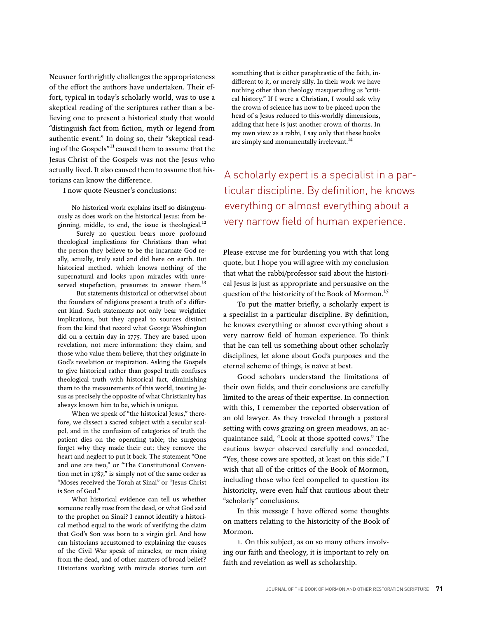Neusner forthrightly challenges the appropriateness of the effort the authors have undertaken. Their effort, typical in today's scholarly world, was to use a skeptical reading of the scriptures rather than a believing one to present a historical study that would "distinguish fact from fiction, myth or legend from authentic event." In doing so, their "skeptical reading of the Gospels"<sup>11</sup> caused them to assume that the Jesus Christ of the Gospels was not the Jesus who actually lived. It also caused them to assume that historians can know the difference.

I now quote Neusner's conclusions:

No historical work explains itself so disingenuously as does work on the historical Jesus: from beginning, middle, to end, the issue is theological. $^{12}$ 

Surely no question bears more profound theological implications for Christians than what the person they believe to be the incarnate God really, actually, truly said and did here on earth. But historical method, which knows nothing of the supernatural and looks upon miracles with unreserved stupefaction, presumes to answer them.<sup>13</sup>

But statements (historical or otherwise) about the founders of religions present a truth of a different kind. Such statements not only bear weightier implications, but they appeal to sources distinct from the kind that record what George Washington did on a certain day in 1775. They are based upon revelation, not mere information; they claim, and those who value them believe, that they originate in God's revelation or inspiration. Asking the Gospels to give historical rather than gospel truth confuses theological truth with historical fact, diminishing them to the measurements of this world, treating Jesus as precisely the opposite of what Christianity has always known him to be, which is unique.

When we speak of "the historical Jesus," therefore, we dissect a sacred subject with a secular scalpel, and in the confusion of categories of truth the patient dies on the operating table; the surgeons forget why they made their cut; they remove the heart and neglect to put it back. The statement "One and one are two," or "The Constitutional Convention met in 1787," is simply not of the same order as "Moses received the Torah at Sinai" or "Jesus Christ is Son of God."

What historical evidence can tell us whether someone really rose from the dead, or what God said to the prophet on Sinai? I cannot identify a historical method equal to the work of verifying the claim that God's Son was born to a virgin girl. And how can historians accustomed to explaining the causes of the Civil War speak of miracles, or men rising from the dead, and of other matters of broad belief? Historians working with miracle stories turn out

something that is either paraphrastic of the faith, indifferent to it, or merely silly. In their work we have nothing other than theology masquerading as "critical history." If I were a Christian, I would ask why the crown of science has now to be placed upon the head of a Jesus reduced to this-worldly dimensions, adding that here is just another crown of thorns. In my own view as a rabbi, I say only that these books are simply and monumentally irrelevant.<sup>14</sup>

A scholarly expert is a specialist in a particular discipline. By definition, he knows everything or almost everything about a very narrow field of human experience.

Please excuse me for burdening you with that long quote, but I hope you will agree with my conclusion that what the rabbi/professor said about the historical Jesus is just as appropriate and persuasive on the question of the historicity of the Book of Mormon.<sup>15</sup>

To put the matter briefly, a scholarly expert is a specialist in a particular discipline. By definition, he knows everything or almost everything about a very narrow field of human experience. To think that he can tell us something about other scholarly disciplines, let alone about God's purposes and the eternal scheme of things, is naïve at best.

Good scholars understand the limitations of their own fields, and their conclusions are carefully limited to the areas of their expertise. In connection with this, I remember the reported observation of an old lawyer. As they traveled through a pastoral setting with cows grazing on green meadows, an acquaintance said, "Look at those spotted cows." The cautious lawyer observed carefully and conceded, "Yes, those cows are spotted, at least on this side." I wish that all of the critics of the Book of Mormon, including those who feel compelled to question its historicity, were even half that cautious about their "scholarly" conclusions.

In this message I have offered some thoughts on matters relating to the historicity of the Book of Mormon.

1. On this subject, as on so many others involving our faith and theology, it is important to rely on faith and revelation as well as scholarship.